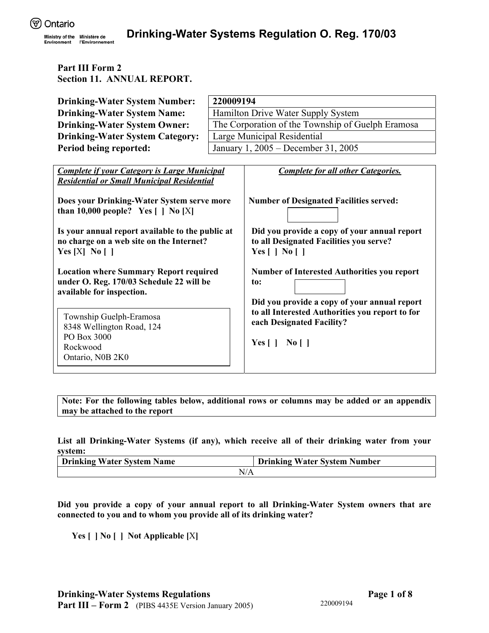Environment

# **Part III Form 2 Section 11. ANNUAL REPORT.**

| <b>Drinking-Water System Number:</b>                                                                                                                                                                                                     | 220009194                                         |                                                                                                                                                             |  |  |  |
|------------------------------------------------------------------------------------------------------------------------------------------------------------------------------------------------------------------------------------------|---------------------------------------------------|-------------------------------------------------------------------------------------------------------------------------------------------------------------|--|--|--|
| <b>Drinking-Water System Name:</b>                                                                                                                                                                                                       | Hamilton Drive Water Supply System                |                                                                                                                                                             |  |  |  |
| <b>Drinking-Water System Owner:</b>                                                                                                                                                                                                      | The Corporation of the Township of Guelph Eramosa |                                                                                                                                                             |  |  |  |
| <b>Drinking-Water System Category:</b>                                                                                                                                                                                                   | Large Municipal Residential                       |                                                                                                                                                             |  |  |  |
| Period being reported:                                                                                                                                                                                                                   |                                                   | January 1, 2005 – December 31, 2005                                                                                                                         |  |  |  |
|                                                                                                                                                                                                                                          |                                                   |                                                                                                                                                             |  |  |  |
| <b>Complete if your Category is Large Municipal</b><br><b>Residential or Small Municipal Residential</b>                                                                                                                                 |                                                   | <b>Complete for all other Categories.</b>                                                                                                                   |  |  |  |
| Does your Drinking-Water System serve more<br>than 10,000 people? Yes $\lceil \cdot \rceil$ No $\lceil X \rceil$<br>Is your annual report available to the public at<br>no charge on a web site on the Internet?<br>Yes $[X]$ No $[$ $]$ |                                                   | <b>Number of Designated Facilities served:</b><br>Did you provide a copy of your annual report<br>to all Designated Facilities you serve?<br>Yes [ ] No [ ] |  |  |  |
| <b>Location where Summary Report required</b><br>under O. Reg. 170/03 Schedule 22 will be<br>available for inspection.                                                                                                                   |                                                   | <b>Number of Interested Authorities you report</b><br>to:<br>Did you provide a copy of your annual report                                                   |  |  |  |
| Township Guelph-Eramosa<br>8348 Wellington Road, 124<br>PO Box 3000<br>Rockwood<br>Ontario, N0B 2K0                                                                                                                                      |                                                   | to all Interested Authorities you report to for<br>each Designated Facility?<br>Yes $[ \ ]$ No $[ \ ]$                                                      |  |  |  |

**Note: For the following tables below, additional rows or columns may be added or an appendix may be attached to the report** 

**List all Drinking-Water Systems (if any), which receive all of their drinking water from your system:** 

| <b>Drinking Water System Name</b> | <b>Drinking Water System Number</b> |  |  |
|-----------------------------------|-------------------------------------|--|--|
| N/A                               |                                     |  |  |

**Did you provide a copy of your annual report to all Drinking-Water System owners that are connected to you and to whom you provide all of its drinking water?** 

**Yes [ ] No [ ] Not Applicable [**X**]**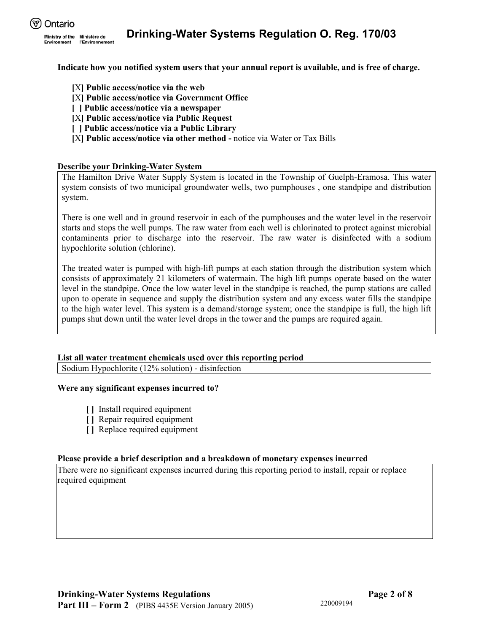

**Indicate how you notified system users that your annual report is available, and is free of charge.** 

- **[**X**] Public access/notice via the web**
- **[**X**] Public access/notice via Government Office**
- **[ ] Public access/notice via a newspaper**
- **[**X**] Public access/notice via Public Request**
- **[ ] Public access/notice via a Public Library**
- **[**X**] Public access/notice via other method** notice via Water or Tax Bills

#### **Describe your Drinking-Water System**

The Hamilton Drive Water Supply System is located in the Township of Guelph-Eramosa. This water system consists of two municipal groundwater wells, two pumphouses , one standpipe and distribution system.

There is one well and in ground reservoir in each of the pumphouses and the water level in the reservoir starts and stops the well pumps. The raw water from each well is chlorinated to protect against microbial contaminents prior to discharge into the reservoir. The raw water is disinfected with a sodium hypochlorite solution (chlorine).

The treated water is pumped with high-lift pumps at each station through the distribution system which consists of approximately 21 kilometers of watermain. The high lift pumps operate based on the water level in the standpipe. Once the low water level in the standpipe is reached, the pump stations are called upon to operate in sequence and supply the distribution system and any excess water fills the standpipe to the high water level. This system is a demand/storage system; once the standpipe is full, the high lift pumps shut down until the water level drops in the tower and the pumps are required again.

## **List all water treatment chemicals used over this reporting period**

Sodium Hypochlorite (12% solution) - disinfection

#### **Were any significant expenses incurred to?**

- **[ ]** Install required equipment
- **[ ]** Repair required equipment
- **[ ]** Replace required equipment

#### **Please provide a brief description and a breakdown of monetary expenses incurred**

There were no significant expenses incurred during this reporting period to install, repair or replace required equipment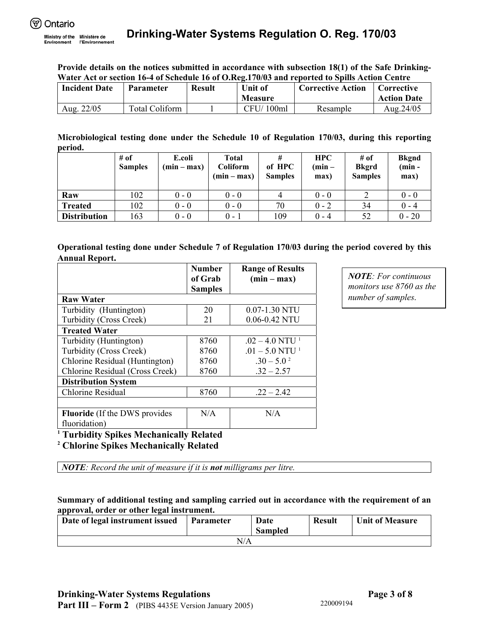Environment

**Provide details on the notices submitted in accordance with subsection 18(1) of the Safe Drinking-Water Act or section 16-4 of Schedule 16 of O.Reg.170/03 and reported to Spills Action Centre** 

| <b>Incident Date</b> | <b>Parameter</b> | <b>Result</b> | <b>Unit of</b><br><b>Measure</b> | <b>Corrective Action</b> | Corrective<br><b>Action Date</b> |
|----------------------|------------------|---------------|----------------------------------|--------------------------|----------------------------------|
| 22/05<br>Aug         | Total Coliform   |               | CFU/100ml                        | Resample                 | Aug.24/05                        |

**Microbiological testing done under the Schedule 10 of Regulation 170/03, during this reporting period.**

|                     | $#$ of         | E.coli        | Total                     | #                        | <b>HPC</b>       | $#$ of                         | <b>Bkgnd</b>     |
|---------------------|----------------|---------------|---------------------------|--------------------------|------------------|--------------------------------|------------------|
|                     | <b>Samples</b> | $(min - max)$ | Coliform<br>$(min - max)$ | of HPC<br><b>Samples</b> | $(min -$<br>max) | <b>Bkgrd</b><br><b>Samples</b> | $(min -$<br>max) |
| Raw                 | 102            | $0 - 0$       | $0 - 0$                   | 4                        | $0 - 0$          |                                | $0 - 0$          |
| <b>Treated</b>      | 102            | $0 - 0$       | $0 - 0$                   | 70                       | $0 - 2$          | 34                             | $0 - 4$          |
| <b>Distribution</b> | 163            | $0 - 0$       | $0 - 1$                   | 109                      | $0 - 4$          | 52                             | $0 - 20$         |

## **Operational testing done under Schedule 7 of Regulation 170/03 during the period covered by this Annual Report.**

|                                      | <b>Number</b><br>of Grab<br><b>Samples</b> | <b>Range of Results</b><br>$(min - max)$ |
|--------------------------------------|--------------------------------------------|------------------------------------------|
| <b>Raw Water</b>                     |                                            |                                          |
| Turbidity (Huntington)               | 20                                         | 0.07-1.30 NTU                            |
| Turbidity (Cross Creek)              | 21                                         | 0.06-0.42 NTU                            |
| <b>Treated Water</b>                 |                                            |                                          |
| Turbidity (Huntington)               | 8760                                       | $.02 - 4.0$ NTU <sup>1</sup>             |
| Turbidity (Cross Creek)              | 8760                                       | $.01 - 5.0$ NTU <sup>1</sup>             |
| Chlorine Residual (Huntington)       | 8760                                       | $.30 - 5.0^2$                            |
| Chlorine Residual (Cross Creek)      | 8760                                       | $.32 - 2.57$                             |
| <b>Distribution System</b>           |                                            |                                          |
| Chlorine Residual                    | 8760                                       | $.22 - 2.42$                             |
|                                      |                                            |                                          |
| <b>Fluoride</b> (If the DWS provides | N/A                                        | N/A                                      |
| fluoridation)                        |                                            |                                          |

<sup>1</sup> Turbidity Spikes Mechanically Related<br><sup>2</sup> Chlorine Spikes Mechanically Related

 **Chlorine Spikes Mechanically Related** 

*NOTE: Record the unit of measure if it is not milligrams per litre.* 

**Summary of additional testing and sampling carried out in accordance with the requirement of an approval, order or other legal instrument.** 

| Date of legal instrument issued | <b>Parameter</b> | Date           | <b>Result</b> | <b>Unit of Measure</b> |  |  |
|---------------------------------|------------------|----------------|---------------|------------------------|--|--|
|                                 |                  | <b>Sampled</b> |               |                        |  |  |
| N/A                             |                  |                |               |                        |  |  |

*NOTE: For continuous monitors use 8760 as the number of samples.*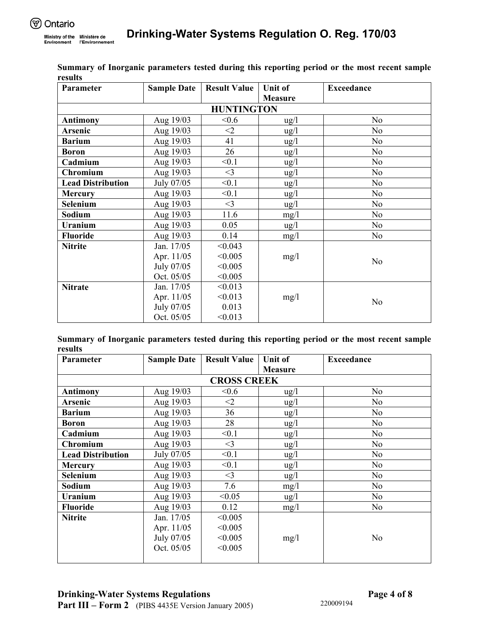| Parameter                | <b>Sample Date</b> | <b>Result Value</b> | <b>Unit of</b>  | <b>Exceedance</b> |
|--------------------------|--------------------|---------------------|-----------------|-------------------|
|                          |                    |                     | <b>Measure</b>  |                   |
|                          |                    | <b>HUNTINGTON</b>   |                 |                   |
| <b>Antimony</b>          | Aug 19/03          | < 0.6               | $\frac{u g}{l}$ | N <sub>0</sub>    |
| <b>Arsenic</b>           | Aug 19/03          | $<$ 2               | ug/l            | No                |
| <b>Barium</b>            | Aug 19/03          | 41                  | $\frac{u g}{l}$ | N <sub>0</sub>    |
| <b>Boron</b>             | Aug 19/03          | 26                  | $\frac{u g}{l}$ | N <sub>0</sub>    |
| Cadmium                  | Aug 19/03          | < 0.1               | ug/l            | N <sub>o</sub>    |
| <b>Chromium</b>          | Aug 19/03          | $<$ 3               | $\frac{u g}{l}$ | No                |
| <b>Lead Distribution</b> | July 07/05         | < 0.1               | ug/l            | N <sub>0</sub>    |
| <b>Mercury</b>           | Aug 19/03          | < 0.1               | ug/l            | N <sub>0</sub>    |
| <b>Selenium</b>          | Aug 19/03          | $<$ 3               | $\frac{u g}{l}$ | N <sub>0</sub>    |
| Sodium                   | Aug 19/03          | 11.6                | mg/1            | N <sub>0</sub>    |
| Uranium                  | Aug 19/03          | 0.05                | $\frac{u g}{l}$ | N <sub>0</sub>    |
| <b>Fluoride</b>          | Aug 19/03          | 0.14                | mg/l            | N <sub>o</sub>    |
| <b>Nitrite</b>           | Jan. 17/05         | < 0.043             |                 |                   |
|                          | Apr. 11/05         | < 0.005             | mg/l            | N <sub>o</sub>    |
|                          | July 07/05         | < 0.005             |                 |                   |
|                          | Oct. 05/05         | < 0.005             |                 |                   |
| <b>Nitrate</b>           | Jan. 17/05         | < 0.013             |                 |                   |
|                          | Apr. 11/05         | < 0.013             | mg/l            | N <sub>0</sub>    |
|                          | July 07/05         | 0.013               |                 |                   |
|                          | Oct. 05/05         | < 0.013             |                 |                   |

**Summary of Inorganic parameters tested during this reporting period or the most recent sample results** 

**Summary of Inorganic parameters tested during this reporting period or the most recent sample results** 

| Parameter                | <b>Sample Date</b>                                      | <b>Result Value</b> | <b>Unit of</b>  | <b>Exceedance</b> |  |  |  |
|--------------------------|---------------------------------------------------------|---------------------|-----------------|-------------------|--|--|--|
|                          |                                                         |                     | <b>Measure</b>  |                   |  |  |  |
| <b>CROSS CREEK</b>       |                                                         |                     |                 |                   |  |  |  |
| <b>Antimony</b>          | < 0.6<br>Aug 19/03<br>N <sub>o</sub><br>$\frac{u g}{l}$ |                     |                 |                   |  |  |  |
| Arsenic                  | Aug 19/03                                               | $<$ 2               | $\frac{u g}{l}$ | N <sub>0</sub>    |  |  |  |
| <b>Barium</b>            | Aug 19/03                                               | 36                  | $\frac{u g}{l}$ | N <sub>0</sub>    |  |  |  |
| <b>Boron</b>             | Aug 19/03                                               | 28                  | $\frac{u g}{l}$ | N <sub>0</sub>    |  |  |  |
| Cadmium                  | Aug 19/03                                               | < 0.1               | ug/l            | N <sub>0</sub>    |  |  |  |
| <b>Chromium</b>          | Aug 19/03                                               | $<$ 3               | $\frac{u g}{l}$ | N <sub>o</sub>    |  |  |  |
| <b>Lead Distribution</b> | July 07/05                                              | < 0.1               | $\frac{u g}{l}$ | N <sub>0</sub>    |  |  |  |
| <b>Mercury</b>           | Aug 19/03                                               | < 0.1               | ug/l            | N <sub>o</sub>    |  |  |  |
| Selenium                 | Aug 19/03                                               | $<$ 3               | $\frac{u g}{l}$ | No                |  |  |  |
| Sodium                   | Aug 19/03                                               | 7.6                 | mg/l            | N <sub>0</sub>    |  |  |  |
| Uranium                  | Aug 19/03                                               | < 0.05              | $\frac{u g}{l}$ | N <sub>0</sub>    |  |  |  |
| <b>Fluoride</b>          | Aug 19/03                                               | 0.12                | mg/l            | N <sub>0</sub>    |  |  |  |
| <b>Nitrite</b>           | Jan. 17/05                                              | < 0.005             |                 |                   |  |  |  |
|                          | Apr. 11/05                                              | < 0.005             |                 |                   |  |  |  |
|                          | July 07/05                                              | < 0.005             | mg/l            | N <sub>0</sub>    |  |  |  |
|                          | Oct. 05/05                                              | < 0.005             |                 |                   |  |  |  |
|                          |                                                         |                     |                 |                   |  |  |  |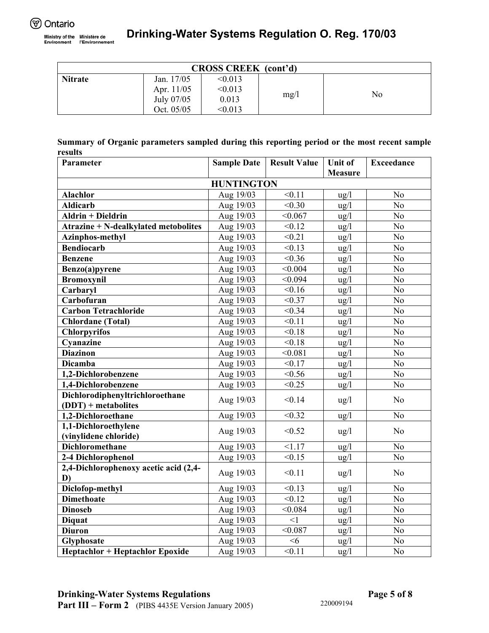| <b>CROSS CREEK</b> (cont'd) |            |         |      |    |  |  |  |
|-----------------------------|------------|---------|------|----|--|--|--|
| <b>Nitrate</b>              | Jan. 17/05 | < 0.013 |      |    |  |  |  |
|                             | Apr. 11/05 | < 0.013 |      | No |  |  |  |
|                             | July 07/05 | 0.013   | mg/l |    |  |  |  |
|                             | Oct. 05/05 | < 0.013 |      |    |  |  |  |

|         |  |  | Summary of Organic parameters sampled during this reporting period or the most recent sample |  |  |  |
|---------|--|--|----------------------------------------------------------------------------------------------|--|--|--|
| results |  |  |                                                                                              |  |  |  |

| Parameter                                     | <b>Sample Date</b> | <b>Result Value</b> | <b>Unit of</b>    | <b>Exceedance</b> |
|-----------------------------------------------|--------------------|---------------------|-------------------|-------------------|
|                                               |                    |                     | <b>Measure</b>    |                   |
|                                               | <b>HUNTINGTON</b>  |                     |                   |                   |
| Alachlor                                      | Aug 19/03          | < 0.11              | $\frac{u}{g}$     | N <sub>o</sub>    |
| <b>Aldicarb</b>                               | Aug 19/03          | < 0.30              | $\frac{u}{g}$     | N <sub>o</sub>    |
| $\overline{\text{Aldrin}}$ + Dieldrin         | Aug 19/03          | < 0.067             | ug/l              | N <sub>o</sub>    |
| <b>Atrazine + N-dealkylated metobolites</b>   | Aug 19/03          | $\le 0.12$          | ug/l              | No                |
| <b>Azinphos-methyl</b>                        | Aug 19/03          | < 0.21              | $\frac{u}{g}$     | N <sub>o</sub>    |
| <b>Bendiocarb</b>                             | Aug 19/03          | < 0.13              | ug/l              | No                |
| <b>Benzene</b>                                | Aug 19/03          | < 0.36              | ug/l              | N <sub>o</sub>    |
| Benzo(a)pyrene                                | Aug 19/03          | $\sqrt{0.004}$      | ug/l              | N <sub>o</sub>    |
| <b>Bromoxynil</b>                             | Aug 19/03          | < 0.094             | $\frac{u g}{l}$   | N <sub>o</sub>    |
| Carbaryl                                      | Aug 19/03          | < 0.16              | $ug/l$            | N <sub>o</sub>    |
| Carbofuran                                    | Aug 19/03          | < 0.37              | ug/l              | N <sub>o</sub>    |
| <b>Carbon Tetrachloride</b>                   | Aug 19/03          | < 0.34              | ug/l              | N <sub>0</sub>    |
| <b>Chlordane</b> (Total)                      | Aug 19/03          | < 0.11              | ug/l              | N <sub>o</sub>    |
| <b>Chlorpyrifos</b>                           | Aug 19/03          | < 0.18              | ug/l              | N <sub>o</sub>    |
| Cyanazine                                     | Aug 19/03          | $\overline{<}0.18$  | ug/l              | N <sub>o</sub>    |
| <b>Diazinon</b>                               | Aug 19/03          | < 0.081             | $\frac{u}{g}$     | N <sub>o</sub>    |
| <b>Dicamba</b>                                | Aug 19/03          | < 0.17              | ug/l              | N <sub>o</sub>    |
| 1.2-Dichlorobenzene                           | Aug 19/03          | < 0.56              | ug/l              | N <sub>o</sub>    |
| 1,4-Dichlorobenzene                           | Aug 19/03          | < 0.25              | $ug/l$            | N <sub>0</sub>    |
| Dichlorodiphenyltrichloroethane               | Aug 19/03          | < 0.14              | $\frac{u g}{l}$   | N <sub>0</sub>    |
| $(DDT)$ + metabolites                         |                    |                     |                   |                   |
| 1,2-Dichloroethane                            | Aug 19/03          | < 0.32              | $\frac{u}{g}$     | N <sub>o</sub>    |
| 1,1-Dichloroethylene<br>(vinylidene chloride) | Aug 19/03          | < 0.52              | $\frac{u g}{l}$   | N <sub>o</sub>    |
| <b>Dichloromethane</b>                        | Aug 19/03          | 1.17                | $\frac{u g}{l}$   | N <sub>o</sub>    |
| 2-4 Dichlorophenol                            | Aug 19/03          | < 0.15              | $\frac{u}{g}$     | N <sub>o</sub>    |
| 2,4-Dichlorophenoxy acetic acid (2,4-<br>D)   | Aug 19/03          | < 0.11              | $\frac{u}{g}$     | N <sub>0</sub>    |
| Diclofop-methyl                               | Aug 19/03          | < 0.13              | $\frac{u g}{l}$   | N <sub>0</sub>    |
| <b>Dimethoate</b>                             | Aug 19/03          | $\sqrt{0.12}$       | $ug/\overline{l}$ | $\overline{No}$   |
| <b>Dinoseb</b>                                | Aug 19/03          | < 0.084             | ug/l              | $\overline{No}$   |
| <b>Diquat</b>                                 | Aug 19/03          | $\leq$ 1            | ug/l              | N <sub>o</sub>    |
| <b>Diuron</b>                                 | Aug 19/03          | < 0.087             | $\frac{u g}{l}$   | N <sub>o</sub>    |
| Glyphosate                                    | Aug 19/03          | <6                  | ug/l              | N <sub>o</sub>    |
| <b>Heptachlor + Heptachlor Epoxide</b>        | Aug 19/03          | < 0.11              | $\frac{u}{g}$     | N <sub>o</sub>    |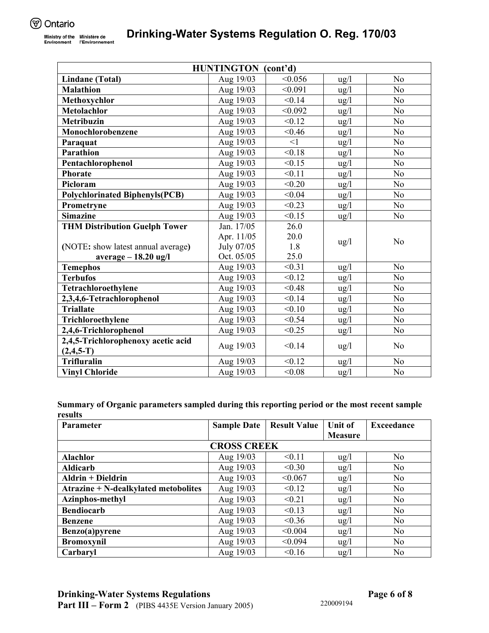| <b>HUNTINGTON</b> (cont'd)                        |            |          |                 |                 |  |  |
|---------------------------------------------------|------------|----------|-----------------|-----------------|--|--|
| Lindane (Total)                                   | Aug 19/03  | < 0.056  | $\frac{u}{g}$   | N <sub>o</sub>  |  |  |
| <b>Malathion</b>                                  | Aug 19/03  | < 0.091  | $\frac{u g}{l}$ | N <sub>o</sub>  |  |  |
| Methoxychlor                                      | Aug 19/03  | < 0.14   | $ug/l$          | N <sub>o</sub>  |  |  |
| Metolachlor                                       | Aug 19/03  | < 0.092  | $\frac{u g}{l}$ | N <sub>o</sub>  |  |  |
| <b>Metribuzin</b>                                 | Aug 19/03  | < 0.12   | ug/l            | N <sub>o</sub>  |  |  |
| Monochlorobenzene                                 | Aug 19/03  | < 0.46   | $\frac{u}{g}$   | N <sub>o</sub>  |  |  |
| Paraquat                                          | Aug 19/03  | $\leq$ 1 | $\frac{u g}{l}$ | N <sub>o</sub>  |  |  |
| Parathion                                         | Aug 19/03  | < 0.18   | $\frac{u g}{l}$ | N <sub>o</sub>  |  |  |
| Pentachlorophenol                                 | Aug 19/03  | < 0.15   | ug/l            | N <sub>0</sub>  |  |  |
| <b>Phorate</b>                                    | Aug 19/03  | < 0.11   | $\frac{u g}{l}$ | N <sub>o</sub>  |  |  |
| Picloram                                          | Aug 19/03  | < 0.20   | ug/l            | N <sub>0</sub>  |  |  |
| <b>Polychlorinated Biphenyls(PCB)</b>             | Aug 19/03  | < 0.04   | $\frac{u g}{l}$ | N <sub>0</sub>  |  |  |
| Prometryne                                        | Aug 19/03  | < 0.23   | ug/l            | No              |  |  |
| <b>Simazine</b>                                   | Aug 19/03  | < 0.15   | ug/l            | N <sub>0</sub>  |  |  |
| <b>THM Distribution Guelph Tower</b>              | Jan. 17/05 | 26.0     |                 |                 |  |  |
|                                                   | Apr. 11/05 | 20.0     | $\frac{u}{g}$   | N <sub>o</sub>  |  |  |
| (NOTE: show latest annual average)                | July 07/05 | 1.8      |                 |                 |  |  |
| $average - 18.20$ ug/l                            | Oct. 05/05 | 25.0     |                 |                 |  |  |
| <b>Temephos</b>                                   | Aug 19/03  | < 0.31   | $\frac{u}{g}$   | N <sub>0</sub>  |  |  |
| <b>Terbufos</b>                                   | Aug 19/03  | < 0.12   | ug/l            | N <sub>0</sub>  |  |  |
| Tetrachloroethylene                               | Aug 19/03  | < 0.48   | $\frac{u g}{l}$ | N <sub>0</sub>  |  |  |
| 2,3,4,6-Tetrachlorophenol                         | Aug 19/03  | < 0.14   | ug/l            | N <sub>0</sub>  |  |  |
| <b>Triallate</b>                                  | Aug 19/03  | < 0.10   | ug/l            | N <sub>0</sub>  |  |  |
| Trichloroethylene                                 | Aug 19/03  | < 0.54   | $ug/l$          | N <sub>0</sub>  |  |  |
| 2,4,6-Trichlorophenol                             | Aug 19/03  | < 0.25   | $\frac{u}{g}$   | No              |  |  |
| 2,4,5-Trichlorophenoxy acetic acid<br>$(2,4,5-T)$ | Aug 19/03  | < 0.14   | $\frac{u}{g}$   | N <sub>0</sub>  |  |  |
| <b>Trifluralin</b>                                | Aug 19/03  | < 0.12   | $\frac{u g}{l}$ | N <sub>0</sub>  |  |  |
| <b>Vinyl Chloride</b>                             | Aug 19/03  | < 0.08   | ug/l            | $\overline{No}$ |  |  |

| Summary of Organic parameters sampled during this reporting period or the most recent sample |  |
|----------------------------------------------------------------------------------------------|--|
| results                                                                                      |  |

| Parameter                            | <b>Sample Date</b> | <b>Result Value</b> | <b>Unit of</b>  | <b>Exceedance</b> |  |
|--------------------------------------|--------------------|---------------------|-----------------|-------------------|--|
|                                      |                    |                     | <b>Measure</b>  |                   |  |
| <b>CROSS CREEK</b>                   |                    |                     |                 |                   |  |
| Alachlor                             | Aug 19/03          | < 0.11              | $\frac{u g}{l}$ | N <sub>0</sub>    |  |
| <b>Aldicarb</b>                      | Aug 19/03          | < 0.30              | $\frac{u g}{l}$ | N <sub>0</sub>    |  |
| Aldrin + Dieldrin                    | Aug 19/03          | < 0.067             | $\frac{u g}{l}$ | N <sub>0</sub>    |  |
| Atrazine + N-dealkylated metobolites | Aug 19/03          | < 0.12              | $\frac{u g}{l}$ | N <sub>o</sub>    |  |
| Azinphos-methyl                      | Aug 19/03          | < 0.21              | $\frac{u g}{l}$ | N <sub>0</sub>    |  |
| <b>Bendiocarb</b>                    | Aug 19/03          | < 0.13              | $\frac{u g}{l}$ | N <sub>0</sub>    |  |
| <b>Benzene</b>                       | Aug 19/03          | < 0.36              | $\frac{u g}{l}$ | N <sub>0</sub>    |  |
| Benzo(a)pyrene                       | Aug 19/03          | < 0.004             | $\frac{u}{g}$   | N <sub>o</sub>    |  |
| <b>Bromoxynil</b>                    | Aug 19/03          | < 0.094             | $\frac{u g}{l}$ | N <sub>0</sub>    |  |
| Carbaryl                             | Aug 19/03          | < 0.16              | $\frac{u g}{l}$ | N <sub>0</sub>    |  |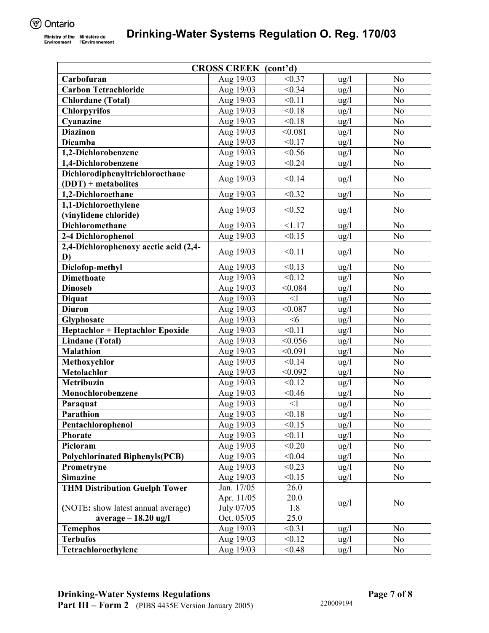| < 0.37<br>Carbofuran<br>Aug 19/03<br>N <sub>0</sub><br>$\frac{u}{g}$<br>N <sub>o</sub><br><b>Carbon Tetrachloride</b><br>Aug 19/03<br>< 0.34<br>$\frac{u g}{l}$<br>< 0.11<br><b>Chlordane</b> (Total)<br>Aug 19/03<br>N <sub>o</sub><br>$\frac{u g}{l}$<br><b>Chlorpyrifos</b><br>Aug 19/03<br>< 0.18<br>$\frac{u}{g}$<br>N <sub>0</sub><br>Cyanazine<br>Aug 19/03<br>< 0.18<br>ug/l<br>N <sub>o</sub><br><b>Diazinon</b><br>< 0.081<br>N <sub>o</sub><br>Aug 19/03<br>ug/l<br><b>Dicamba</b><br>Aug 19/03<br>< 0.17<br>N <sub>o</sub><br>$\frac{u}{g}$<br>< 0.56<br>N <sub>o</sub><br>1,2-Dichlorobenzene<br>Aug 19/03<br>$\frac{u g}{l}$<br>Aug 19/03<br>< 0.24<br>$\frac{u}{g}$<br>N <sub>0</sub><br>1,4-Dichlorobenzene<br>Dichlorodiphenyltrichloroethane<br>< 0.14<br>Aug 19/03<br>N <sub>o</sub><br>ug/l<br>$(DDT)$ + metabolites<br>1,2-Dichloroethane<br>< 0.32<br>N <sub>0</sub><br>Aug 19/03<br>$\frac{u g}{l}$<br>1,1-Dichloroethylene<br>Aug 19/03<br>< 0.52<br>N <sub>o</sub><br>$\frac{u g}{l}$<br>(vinylidene chloride)<br><b>Dichloromethane</b><br>< 1.17<br>No<br>Aug 19/03<br>$\frac{u}{g}$<br>< 0.15<br>2-4 Dichlorophenol<br>Aug 19/03<br>N <sub>o</sub><br>$\frac{u g}{l}$<br>2,4-Dichlorophenoxy acetic acid (2,4-<br>< 0.11<br>N <sub>o</sub><br>Aug 19/03<br>$\frac{u g}{l}$<br>D)<br>Diclofop-methyl<br>< 0.13<br>N <sub>0</sub><br>Aug 19/03<br>$\frac{u}{g}$<br><b>Dimethoate</b><br>< 0.12<br>N <sub>o</sub><br>Aug 19/03<br>$\frac{u g}{l}$<br><b>Dinoseb</b><br>Aug 19/03<br>< 0.084<br>ug/l<br>N <sub>o</sub><br>N <sub>o</sub><br>Aug 19/03<br>$\leq$ 1<br>ug/l<br><b>Diquat</b><br>N <sub>o</sub><br><b>Diuron</b><br>Aug 19/03<br>< 0.087<br>$\frac{u g}{l}$<br>N <sub>o</sub><br>Aug 19/03<br><6<br>$\frac{u}{g}$<br>Glyphosate<br>< 0.11<br>N <sub>o</sub><br><b>Heptachlor + Heptachlor Epoxide</b><br>Aug 19/03<br>$\frac{u g}{l}$<br><b>Lindane</b> (Total)<br>< 0.056<br>Aug 19/03<br>$\frac{u}{g}$<br>N <sub>o</sub><br><b>Malathion</b><br>< 0.091<br>Aug 19/03<br>$\frac{u g}{l}$<br>N <sub>o</sub><br>< 0.14<br>N <sub>o</sub><br>Aug 19/03<br>Methoxychlor<br>$\frac{u g}{l}$<br><b>Metolachlor</b><br>< 0.092<br>No<br>Aug 19/03<br>$\frac{u g}{l}$<br>< 0.12<br>Metribuzin<br>N <sub>o</sub><br>Aug 19/03<br>ug/l<br>Monochlorobenzene<br>Aug 19/03<br>< 0.46<br>$\frac{u}{g}$<br>N <sub>o</sub><br>Aug 19/03<br>$\leq$ 1<br>No<br>$\frac{u g}{l}$<br>Paraquat<br>Parathion<br>Aug 19/03<br>< 0.18<br>N <sub>o</sub><br>$\frac{u}{g}$<br>< 0.15<br>Pentachlorophenol<br>Aug 19/03<br>N <sub>o</sub><br>$\frac{u}{g}$<br>< 0.11<br><b>Phorate</b><br>Aug 19/03<br>$\frac{u}{g}$<br>N <sub>0</sub><br>Picloram<br>Aug 19/03<br>< 0.20<br>$\frac{u}{g}$<br>N <sub>0</sub><br><b>Polychlorinated Biphenyls(PCB)</b><br>Aug 19/03<br>< 0.04<br>$\frac{u}{g}$<br>N <sub>0</sub><br>Aug 19/03<br>< 0.23<br>N <sub>0</sub><br>ug/l<br>Prometryne<br><b>Simazine</b><br>< 0.15<br>N <sub>o</sub><br>Aug 19/03<br>$\frac{u g}{l}$<br>Jan. 17/05<br><b>THM Distribution Guelph Tower</b><br>26.0 | <b>CROSS CREEK</b> (cont'd) |            |      |                 |                |
|----------------------------------------------------------------------------------------------------------------------------------------------------------------------------------------------------------------------------------------------------------------------------------------------------------------------------------------------------------------------------------------------------------------------------------------------------------------------------------------------------------------------------------------------------------------------------------------------------------------------------------------------------------------------------------------------------------------------------------------------------------------------------------------------------------------------------------------------------------------------------------------------------------------------------------------------------------------------------------------------------------------------------------------------------------------------------------------------------------------------------------------------------------------------------------------------------------------------------------------------------------------------------------------------------------------------------------------------------------------------------------------------------------------------------------------------------------------------------------------------------------------------------------------------------------------------------------------------------------------------------------------------------------------------------------------------------------------------------------------------------------------------------------------------------------------------------------------------------------------------------------------------------------------------------------------------------------------------------------------------------------------------------------------------------------------------------------------------------------------------------------------------------------------------------------------------------------------------------------------------------------------------------------------------------------------------------------------------------------------------------------------------------------------------------------------------------------------------------------------------------------------------------------------------------------------------------------------------------------------------------------------------------------------------------------------------------------------------------------------------------------------------------------------------------------------------------------------------------------------------------------------------------------------------------------------------------------------------------------------------------------------------------------------|-----------------------------|------------|------|-----------------|----------------|
|                                                                                                                                                                                                                                                                                                                                                                                                                                                                                                                                                                                                                                                                                                                                                                                                                                                                                                                                                                                                                                                                                                                                                                                                                                                                                                                                                                                                                                                                                                                                                                                                                                                                                                                                                                                                                                                                                                                                                                                                                                                                                                                                                                                                                                                                                                                                                                                                                                                                                                                                                                                                                                                                                                                                                                                                                                                                                                                                                                                                                                        |                             |            |      |                 |                |
|                                                                                                                                                                                                                                                                                                                                                                                                                                                                                                                                                                                                                                                                                                                                                                                                                                                                                                                                                                                                                                                                                                                                                                                                                                                                                                                                                                                                                                                                                                                                                                                                                                                                                                                                                                                                                                                                                                                                                                                                                                                                                                                                                                                                                                                                                                                                                                                                                                                                                                                                                                                                                                                                                                                                                                                                                                                                                                                                                                                                                                        |                             |            |      |                 |                |
|                                                                                                                                                                                                                                                                                                                                                                                                                                                                                                                                                                                                                                                                                                                                                                                                                                                                                                                                                                                                                                                                                                                                                                                                                                                                                                                                                                                                                                                                                                                                                                                                                                                                                                                                                                                                                                                                                                                                                                                                                                                                                                                                                                                                                                                                                                                                                                                                                                                                                                                                                                                                                                                                                                                                                                                                                                                                                                                                                                                                                                        |                             |            |      |                 |                |
|                                                                                                                                                                                                                                                                                                                                                                                                                                                                                                                                                                                                                                                                                                                                                                                                                                                                                                                                                                                                                                                                                                                                                                                                                                                                                                                                                                                                                                                                                                                                                                                                                                                                                                                                                                                                                                                                                                                                                                                                                                                                                                                                                                                                                                                                                                                                                                                                                                                                                                                                                                                                                                                                                                                                                                                                                                                                                                                                                                                                                                        |                             |            |      |                 |                |
|                                                                                                                                                                                                                                                                                                                                                                                                                                                                                                                                                                                                                                                                                                                                                                                                                                                                                                                                                                                                                                                                                                                                                                                                                                                                                                                                                                                                                                                                                                                                                                                                                                                                                                                                                                                                                                                                                                                                                                                                                                                                                                                                                                                                                                                                                                                                                                                                                                                                                                                                                                                                                                                                                                                                                                                                                                                                                                                                                                                                                                        |                             |            |      |                 |                |
|                                                                                                                                                                                                                                                                                                                                                                                                                                                                                                                                                                                                                                                                                                                                                                                                                                                                                                                                                                                                                                                                                                                                                                                                                                                                                                                                                                                                                                                                                                                                                                                                                                                                                                                                                                                                                                                                                                                                                                                                                                                                                                                                                                                                                                                                                                                                                                                                                                                                                                                                                                                                                                                                                                                                                                                                                                                                                                                                                                                                                                        |                             |            |      |                 |                |
|                                                                                                                                                                                                                                                                                                                                                                                                                                                                                                                                                                                                                                                                                                                                                                                                                                                                                                                                                                                                                                                                                                                                                                                                                                                                                                                                                                                                                                                                                                                                                                                                                                                                                                                                                                                                                                                                                                                                                                                                                                                                                                                                                                                                                                                                                                                                                                                                                                                                                                                                                                                                                                                                                                                                                                                                                                                                                                                                                                                                                                        |                             |            |      |                 |                |
|                                                                                                                                                                                                                                                                                                                                                                                                                                                                                                                                                                                                                                                                                                                                                                                                                                                                                                                                                                                                                                                                                                                                                                                                                                                                                                                                                                                                                                                                                                                                                                                                                                                                                                                                                                                                                                                                                                                                                                                                                                                                                                                                                                                                                                                                                                                                                                                                                                                                                                                                                                                                                                                                                                                                                                                                                                                                                                                                                                                                                                        |                             |            |      |                 |                |
|                                                                                                                                                                                                                                                                                                                                                                                                                                                                                                                                                                                                                                                                                                                                                                                                                                                                                                                                                                                                                                                                                                                                                                                                                                                                                                                                                                                                                                                                                                                                                                                                                                                                                                                                                                                                                                                                                                                                                                                                                                                                                                                                                                                                                                                                                                                                                                                                                                                                                                                                                                                                                                                                                                                                                                                                                                                                                                                                                                                                                                        |                             |            |      |                 |                |
|                                                                                                                                                                                                                                                                                                                                                                                                                                                                                                                                                                                                                                                                                                                                                                                                                                                                                                                                                                                                                                                                                                                                                                                                                                                                                                                                                                                                                                                                                                                                                                                                                                                                                                                                                                                                                                                                                                                                                                                                                                                                                                                                                                                                                                                                                                                                                                                                                                                                                                                                                                                                                                                                                                                                                                                                                                                                                                                                                                                                                                        |                             |            |      |                 |                |
|                                                                                                                                                                                                                                                                                                                                                                                                                                                                                                                                                                                                                                                                                                                                                                                                                                                                                                                                                                                                                                                                                                                                                                                                                                                                                                                                                                                                                                                                                                                                                                                                                                                                                                                                                                                                                                                                                                                                                                                                                                                                                                                                                                                                                                                                                                                                                                                                                                                                                                                                                                                                                                                                                                                                                                                                                                                                                                                                                                                                                                        |                             |            |      |                 |                |
|                                                                                                                                                                                                                                                                                                                                                                                                                                                                                                                                                                                                                                                                                                                                                                                                                                                                                                                                                                                                                                                                                                                                                                                                                                                                                                                                                                                                                                                                                                                                                                                                                                                                                                                                                                                                                                                                                                                                                                                                                                                                                                                                                                                                                                                                                                                                                                                                                                                                                                                                                                                                                                                                                                                                                                                                                                                                                                                                                                                                                                        |                             |            |      |                 |                |
|                                                                                                                                                                                                                                                                                                                                                                                                                                                                                                                                                                                                                                                                                                                                                                                                                                                                                                                                                                                                                                                                                                                                                                                                                                                                                                                                                                                                                                                                                                                                                                                                                                                                                                                                                                                                                                                                                                                                                                                                                                                                                                                                                                                                                                                                                                                                                                                                                                                                                                                                                                                                                                                                                                                                                                                                                                                                                                                                                                                                                                        |                             |            |      |                 |                |
|                                                                                                                                                                                                                                                                                                                                                                                                                                                                                                                                                                                                                                                                                                                                                                                                                                                                                                                                                                                                                                                                                                                                                                                                                                                                                                                                                                                                                                                                                                                                                                                                                                                                                                                                                                                                                                                                                                                                                                                                                                                                                                                                                                                                                                                                                                                                                                                                                                                                                                                                                                                                                                                                                                                                                                                                                                                                                                                                                                                                                                        |                             |            |      |                 |                |
|                                                                                                                                                                                                                                                                                                                                                                                                                                                                                                                                                                                                                                                                                                                                                                                                                                                                                                                                                                                                                                                                                                                                                                                                                                                                                                                                                                                                                                                                                                                                                                                                                                                                                                                                                                                                                                                                                                                                                                                                                                                                                                                                                                                                                                                                                                                                                                                                                                                                                                                                                                                                                                                                                                                                                                                                                                                                                                                                                                                                                                        |                             |            |      |                 |                |
|                                                                                                                                                                                                                                                                                                                                                                                                                                                                                                                                                                                                                                                                                                                                                                                                                                                                                                                                                                                                                                                                                                                                                                                                                                                                                                                                                                                                                                                                                                                                                                                                                                                                                                                                                                                                                                                                                                                                                                                                                                                                                                                                                                                                                                                                                                                                                                                                                                                                                                                                                                                                                                                                                                                                                                                                                                                                                                                                                                                                                                        |                             |            |      |                 |                |
|                                                                                                                                                                                                                                                                                                                                                                                                                                                                                                                                                                                                                                                                                                                                                                                                                                                                                                                                                                                                                                                                                                                                                                                                                                                                                                                                                                                                                                                                                                                                                                                                                                                                                                                                                                                                                                                                                                                                                                                                                                                                                                                                                                                                                                                                                                                                                                                                                                                                                                                                                                                                                                                                                                                                                                                                                                                                                                                                                                                                                                        |                             |            |      |                 |                |
|                                                                                                                                                                                                                                                                                                                                                                                                                                                                                                                                                                                                                                                                                                                                                                                                                                                                                                                                                                                                                                                                                                                                                                                                                                                                                                                                                                                                                                                                                                                                                                                                                                                                                                                                                                                                                                                                                                                                                                                                                                                                                                                                                                                                                                                                                                                                                                                                                                                                                                                                                                                                                                                                                                                                                                                                                                                                                                                                                                                                                                        |                             |            |      |                 |                |
|                                                                                                                                                                                                                                                                                                                                                                                                                                                                                                                                                                                                                                                                                                                                                                                                                                                                                                                                                                                                                                                                                                                                                                                                                                                                                                                                                                                                                                                                                                                                                                                                                                                                                                                                                                                                                                                                                                                                                                                                                                                                                                                                                                                                                                                                                                                                                                                                                                                                                                                                                                                                                                                                                                                                                                                                                                                                                                                                                                                                                                        |                             |            |      |                 |                |
|                                                                                                                                                                                                                                                                                                                                                                                                                                                                                                                                                                                                                                                                                                                                                                                                                                                                                                                                                                                                                                                                                                                                                                                                                                                                                                                                                                                                                                                                                                                                                                                                                                                                                                                                                                                                                                                                                                                                                                                                                                                                                                                                                                                                                                                                                                                                                                                                                                                                                                                                                                                                                                                                                                                                                                                                                                                                                                                                                                                                                                        |                             |            |      |                 |                |
|                                                                                                                                                                                                                                                                                                                                                                                                                                                                                                                                                                                                                                                                                                                                                                                                                                                                                                                                                                                                                                                                                                                                                                                                                                                                                                                                                                                                                                                                                                                                                                                                                                                                                                                                                                                                                                                                                                                                                                                                                                                                                                                                                                                                                                                                                                                                                                                                                                                                                                                                                                                                                                                                                                                                                                                                                                                                                                                                                                                                                                        |                             |            |      |                 |                |
|                                                                                                                                                                                                                                                                                                                                                                                                                                                                                                                                                                                                                                                                                                                                                                                                                                                                                                                                                                                                                                                                                                                                                                                                                                                                                                                                                                                                                                                                                                                                                                                                                                                                                                                                                                                                                                                                                                                                                                                                                                                                                                                                                                                                                                                                                                                                                                                                                                                                                                                                                                                                                                                                                                                                                                                                                                                                                                                                                                                                                                        |                             |            |      |                 |                |
|                                                                                                                                                                                                                                                                                                                                                                                                                                                                                                                                                                                                                                                                                                                                                                                                                                                                                                                                                                                                                                                                                                                                                                                                                                                                                                                                                                                                                                                                                                                                                                                                                                                                                                                                                                                                                                                                                                                                                                                                                                                                                                                                                                                                                                                                                                                                                                                                                                                                                                                                                                                                                                                                                                                                                                                                                                                                                                                                                                                                                                        |                             |            |      |                 |                |
|                                                                                                                                                                                                                                                                                                                                                                                                                                                                                                                                                                                                                                                                                                                                                                                                                                                                                                                                                                                                                                                                                                                                                                                                                                                                                                                                                                                                                                                                                                                                                                                                                                                                                                                                                                                                                                                                                                                                                                                                                                                                                                                                                                                                                                                                                                                                                                                                                                                                                                                                                                                                                                                                                                                                                                                                                                                                                                                                                                                                                                        |                             |            |      |                 |                |
|                                                                                                                                                                                                                                                                                                                                                                                                                                                                                                                                                                                                                                                                                                                                                                                                                                                                                                                                                                                                                                                                                                                                                                                                                                                                                                                                                                                                                                                                                                                                                                                                                                                                                                                                                                                                                                                                                                                                                                                                                                                                                                                                                                                                                                                                                                                                                                                                                                                                                                                                                                                                                                                                                                                                                                                                                                                                                                                                                                                                                                        |                             |            |      |                 |                |
|                                                                                                                                                                                                                                                                                                                                                                                                                                                                                                                                                                                                                                                                                                                                                                                                                                                                                                                                                                                                                                                                                                                                                                                                                                                                                                                                                                                                                                                                                                                                                                                                                                                                                                                                                                                                                                                                                                                                                                                                                                                                                                                                                                                                                                                                                                                                                                                                                                                                                                                                                                                                                                                                                                                                                                                                                                                                                                                                                                                                                                        |                             |            |      |                 |                |
|                                                                                                                                                                                                                                                                                                                                                                                                                                                                                                                                                                                                                                                                                                                                                                                                                                                                                                                                                                                                                                                                                                                                                                                                                                                                                                                                                                                                                                                                                                                                                                                                                                                                                                                                                                                                                                                                                                                                                                                                                                                                                                                                                                                                                                                                                                                                                                                                                                                                                                                                                                                                                                                                                                                                                                                                                                                                                                                                                                                                                                        |                             |            |      |                 |                |
|                                                                                                                                                                                                                                                                                                                                                                                                                                                                                                                                                                                                                                                                                                                                                                                                                                                                                                                                                                                                                                                                                                                                                                                                                                                                                                                                                                                                                                                                                                                                                                                                                                                                                                                                                                                                                                                                                                                                                                                                                                                                                                                                                                                                                                                                                                                                                                                                                                                                                                                                                                                                                                                                                                                                                                                                                                                                                                                                                                                                                                        |                             |            |      |                 |                |
|                                                                                                                                                                                                                                                                                                                                                                                                                                                                                                                                                                                                                                                                                                                                                                                                                                                                                                                                                                                                                                                                                                                                                                                                                                                                                                                                                                                                                                                                                                                                                                                                                                                                                                                                                                                                                                                                                                                                                                                                                                                                                                                                                                                                                                                                                                                                                                                                                                                                                                                                                                                                                                                                                                                                                                                                                                                                                                                                                                                                                                        |                             |            |      |                 |                |
|                                                                                                                                                                                                                                                                                                                                                                                                                                                                                                                                                                                                                                                                                                                                                                                                                                                                                                                                                                                                                                                                                                                                                                                                                                                                                                                                                                                                                                                                                                                                                                                                                                                                                                                                                                                                                                                                                                                                                                                                                                                                                                                                                                                                                                                                                                                                                                                                                                                                                                                                                                                                                                                                                                                                                                                                                                                                                                                                                                                                                                        |                             |            |      |                 |                |
|                                                                                                                                                                                                                                                                                                                                                                                                                                                                                                                                                                                                                                                                                                                                                                                                                                                                                                                                                                                                                                                                                                                                                                                                                                                                                                                                                                                                                                                                                                                                                                                                                                                                                                                                                                                                                                                                                                                                                                                                                                                                                                                                                                                                                                                                                                                                                                                                                                                                                                                                                                                                                                                                                                                                                                                                                                                                                                                                                                                                                                        |                             |            |      |                 |                |
|                                                                                                                                                                                                                                                                                                                                                                                                                                                                                                                                                                                                                                                                                                                                                                                                                                                                                                                                                                                                                                                                                                                                                                                                                                                                                                                                                                                                                                                                                                                                                                                                                                                                                                                                                                                                                                                                                                                                                                                                                                                                                                                                                                                                                                                                                                                                                                                                                                                                                                                                                                                                                                                                                                                                                                                                                                                                                                                                                                                                                                        |                             |            |      |                 |                |
|                                                                                                                                                                                                                                                                                                                                                                                                                                                                                                                                                                                                                                                                                                                                                                                                                                                                                                                                                                                                                                                                                                                                                                                                                                                                                                                                                                                                                                                                                                                                                                                                                                                                                                                                                                                                                                                                                                                                                                                                                                                                                                                                                                                                                                                                                                                                                                                                                                                                                                                                                                                                                                                                                                                                                                                                                                                                                                                                                                                                                                        |                             |            |      |                 |                |
|                                                                                                                                                                                                                                                                                                                                                                                                                                                                                                                                                                                                                                                                                                                                                                                                                                                                                                                                                                                                                                                                                                                                                                                                                                                                                                                                                                                                                                                                                                                                                                                                                                                                                                                                                                                                                                                                                                                                                                                                                                                                                                                                                                                                                                                                                                                                                                                                                                                                                                                                                                                                                                                                                                                                                                                                                                                                                                                                                                                                                                        |                             |            |      |                 |                |
|                                                                                                                                                                                                                                                                                                                                                                                                                                                                                                                                                                                                                                                                                                                                                                                                                                                                                                                                                                                                                                                                                                                                                                                                                                                                                                                                                                                                                                                                                                                                                                                                                                                                                                                                                                                                                                                                                                                                                                                                                                                                                                                                                                                                                                                                                                                                                                                                                                                                                                                                                                                                                                                                                                                                                                                                                                                                                                                                                                                                                                        |                             |            |      |                 |                |
|                                                                                                                                                                                                                                                                                                                                                                                                                                                                                                                                                                                                                                                                                                                                                                                                                                                                                                                                                                                                                                                                                                                                                                                                                                                                                                                                                                                                                                                                                                                                                                                                                                                                                                                                                                                                                                                                                                                                                                                                                                                                                                                                                                                                                                                                                                                                                                                                                                                                                                                                                                                                                                                                                                                                                                                                                                                                                                                                                                                                                                        |                             |            |      |                 |                |
|                                                                                                                                                                                                                                                                                                                                                                                                                                                                                                                                                                                                                                                                                                                                                                                                                                                                                                                                                                                                                                                                                                                                                                                                                                                                                                                                                                                                                                                                                                                                                                                                                                                                                                                                                                                                                                                                                                                                                                                                                                                                                                                                                                                                                                                                                                                                                                                                                                                                                                                                                                                                                                                                                                                                                                                                                                                                                                                                                                                                                                        |                             |            |      |                 |                |
|                                                                                                                                                                                                                                                                                                                                                                                                                                                                                                                                                                                                                                                                                                                                                                                                                                                                                                                                                                                                                                                                                                                                                                                                                                                                                                                                                                                                                                                                                                                                                                                                                                                                                                                                                                                                                                                                                                                                                                                                                                                                                                                                                                                                                                                                                                                                                                                                                                                                                                                                                                                                                                                                                                                                                                                                                                                                                                                                                                                                                                        |                             |            |      | $\frac{u g}{l}$ | N <sub>0</sub> |
|                                                                                                                                                                                                                                                                                                                                                                                                                                                                                                                                                                                                                                                                                                                                                                                                                                                                                                                                                                                                                                                                                                                                                                                                                                                                                                                                                                                                                                                                                                                                                                                                                                                                                                                                                                                                                                                                                                                                                                                                                                                                                                                                                                                                                                                                                                                                                                                                                                                                                                                                                                                                                                                                                                                                                                                                                                                                                                                                                                                                                                        |                             | Apr. 11/05 | 20.0 |                 |                |
| (NOTE: show latest annual average)<br>July 07/05<br>1.8<br>$average - 18.20$ ug/l<br>Oct. 05/05<br>25.0                                                                                                                                                                                                                                                                                                                                                                                                                                                                                                                                                                                                                                                                                                                                                                                                                                                                                                                                                                                                                                                                                                                                                                                                                                                                                                                                                                                                                                                                                                                                                                                                                                                                                                                                                                                                                                                                                                                                                                                                                                                                                                                                                                                                                                                                                                                                                                                                                                                                                                                                                                                                                                                                                                                                                                                                                                                                                                                                |                             |            |      |                 |                |
| <b>Temephos</b><br>Aug 19/03<br>< 0.31<br>N <sub>0</sub><br>$\frac{u}{g}$                                                                                                                                                                                                                                                                                                                                                                                                                                                                                                                                                                                                                                                                                                                                                                                                                                                                                                                                                                                                                                                                                                                                                                                                                                                                                                                                                                                                                                                                                                                                                                                                                                                                                                                                                                                                                                                                                                                                                                                                                                                                                                                                                                                                                                                                                                                                                                                                                                                                                                                                                                                                                                                                                                                                                                                                                                                                                                                                                              |                             |            |      |                 |                |
| <b>Terbufos</b><br>N <sub>o</sub><br>< 0.12<br>Aug 19/03<br>$\frac{u g}{l}$                                                                                                                                                                                                                                                                                                                                                                                                                                                                                                                                                                                                                                                                                                                                                                                                                                                                                                                                                                                                                                                                                                                                                                                                                                                                                                                                                                                                                                                                                                                                                                                                                                                                                                                                                                                                                                                                                                                                                                                                                                                                                                                                                                                                                                                                                                                                                                                                                                                                                                                                                                                                                                                                                                                                                                                                                                                                                                                                                            |                             |            |      |                 |                |
| Tetrachloroethylene<br>< 0.48<br>Aug 19/03<br>N <sub>0</sub><br>$\frac{u g}{l}$                                                                                                                                                                                                                                                                                                                                                                                                                                                                                                                                                                                                                                                                                                                                                                                                                                                                                                                                                                                                                                                                                                                                                                                                                                                                                                                                                                                                                                                                                                                                                                                                                                                                                                                                                                                                                                                                                                                                                                                                                                                                                                                                                                                                                                                                                                                                                                                                                                                                                                                                                                                                                                                                                                                                                                                                                                                                                                                                                        |                             |            |      |                 |                |